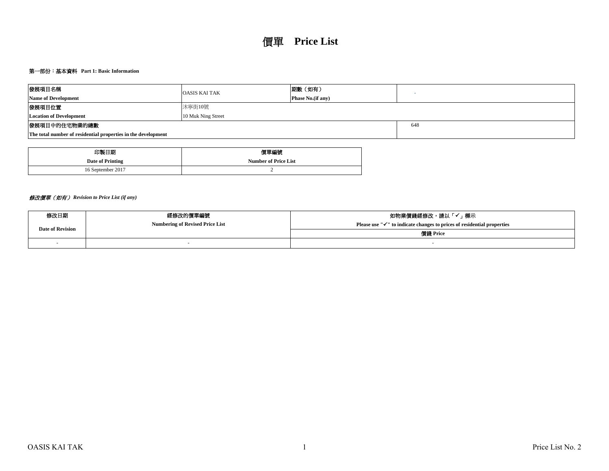## 第一部份:基本資料 **Part 1: Basic Information**

| 發展項目名稱                                                        | <b>OASIS KAI TAK</b>      | 期數 (如有) |  |  |  |  |  |  |  |
|---------------------------------------------------------------|---------------------------|---------|--|--|--|--|--|--|--|
| <b>Name of Development</b>                                    | <b>Phase No.</b> (if any) |         |  |  |  |  |  |  |  |
| 發展項目位置                                                        | 沐寧街10號                    |         |  |  |  |  |  |  |  |
| <b>Location of Development</b>                                | 10 Muk Ning Street        |         |  |  |  |  |  |  |  |
| 發展項目中的住宅物業的總數<br>648                                          |                           |         |  |  |  |  |  |  |  |
| The total number of residential properties in the development |                           |         |  |  |  |  |  |  |  |

| 印製日期              | 價單編號                        |  |  |  |  |  |  |
|-------------------|-----------------------------|--|--|--|--|--|--|
| Date of Printing  | <b>Number of Price List</b> |  |  |  |  |  |  |
| 16 September 2017 |                             |  |  |  |  |  |  |

# 修改價單(如有) *Revision to Price List (if any)*

| 修改日期                    | 經修改的價單編號                               | 如物業價錢經修改,請以「✔」標示                                                                    |  |  |  |  |  |
|-------------------------|----------------------------------------|-------------------------------------------------------------------------------------|--|--|--|--|--|
| <b>Date of Revision</b> | <b>Numbering of Revised Price List</b> | Please use " $\checkmark$ " to indicate changes to prices of residential properties |  |  |  |  |  |
|                         |                                        | 價錢 Price                                                                            |  |  |  |  |  |
|                         |                                        |                                                                                     |  |  |  |  |  |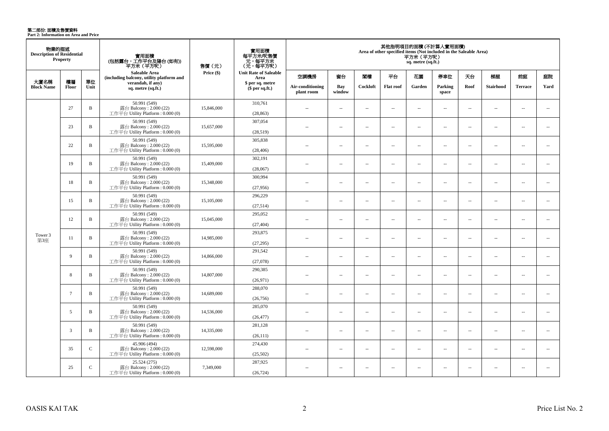**第二部份: 面積及售價資料**<br>Part 2: Information on Area and Price

| 物業的描述<br><b>Description of Residential</b> | Property        |              | 實用面積<br>(包括露台,工作平台及陽台(如有))<br>平方米 (平方呎)                                       | 售價 (元)     | 實用面積<br>每平方米/呎售價<br>- 元, 每平方米<br>(元, 每平方呎) | 其他指明項目的面積(不計算入實用面積)<br>Area of other specified items (Not included in the Saleable Area)<br>平方米(平方呎)<br>sq. metre (sq.ft.) |                          |                          |                          |                                |                          |                          |                          |                          |                          |      |                  |                |      |
|--------------------------------------------|-----------------|--------------|-------------------------------------------------------------------------------|------------|--------------------------------------------|----------------------------------------------------------------------------------------------------------------------------|--------------------------|--------------------------|--------------------------|--------------------------------|--------------------------|--------------------------|--------------------------|--------------------------|--------------------------|------|------------------|----------------|------|
|                                            |                 |              | Saleable Area<br>(including balcony, utility platform and                     | Price (\$) | <b>Unit Rate of Saleable</b><br>Area       | 空調機房                                                                                                                       | 窗台                       | 閣樓                       | 平台                       | 花園                             | 停車位                      | 天台                       | 梯屋                       | 前庭                       | 庭院                       |      |                  |                |      |
| 大廈名稱<br><b>Block Name</b>                  | 樓層<br>Floor     | 單位<br>Unit   | verandah, if any)<br>sq. metre (sq.ft.)                                       |            | \$ per sq. metre<br>$$per sq.f.$ )         |                                                                                                                            |                          |                          |                          | Air-conditioning<br>plant room | Bay<br>window            | Cockloft                 | <b>Flat roof</b>         | Garden                   | Parking<br>space         | Roof | <b>Stairhood</b> | <b>Terrace</b> | Yard |
|                                            | 27              | $\mathbf B$  | 50.991 (549)<br>露台 Balcony: 2.000 (22)<br>工作平台 Utility Platform : $0.000(0)$  | 15,846,000 | 310,761<br>(28, 863)                       | $\overline{a}$                                                                                                             | $\sim$                   | $\sim$                   | $\overline{a}$           | $\sim$ $\sim$                  | $\sim$                   | $\overline{\phantom{a}}$ | $\sim$                   | $\overline{a}$           | $\sim$                   |      |                  |                |      |
|                                            | 23              | $\, {\bf B}$ | 50.991 (549)<br>露台 Balcony: 2.000 (22)<br>工作平台 Utility Platform : 0.000 (0)   | 15,657,000 | 307,054<br>(28,519)                        | $-$                                                                                                                        | $\overline{a}$           | $\sim$                   | $\sim$                   | $\overline{a}$                 | $\sim$                   | $\sim$                   | $\sim$                   | $\overline{a}$           | $\sim$                   |      |                  |                |      |
|                                            | 22              | $\, {\bf B}$ | 50.991 (549)<br>露台 Balcony: 2.000 (22)<br>工作平台 Utility Platform : 0.000 (0)   | 15,595,000 | 305,838<br>(28, 406)                       | $\overline{a}$                                                                                                             | $\sim$                   | $\sim$                   | μ.                       | $\overline{\phantom{a}}$       | $\overline{\phantom{a}}$ | $\overline{\phantom{a}}$ | ÷.                       | $\overline{\phantom{a}}$ | $\overline{\phantom{a}}$ |      |                  |                |      |
|                                            | 19              | B            | 50.991 (549)<br>露台 Balcony: 2.000 (22)<br>工作平台 Utility Platform: 0.000 (0)    | 15,409,000 | 302,191<br>(28,067)                        | $\overline{a}$                                                                                                             | $\overline{a}$           | $\sim$                   | $\sim$                   | $\sim$                         | $\sim$                   | $\overline{\phantom{a}}$ | $\sim$                   | $\overline{a}$           | $\sim$                   |      |                  |                |      |
|                                            | 18              | $\, {\bf B}$ | 50.991 (549)<br>露台 Balcony: 2.000 (22)<br>工作平台 Utility Platform: 0.000 (0)    | 15,348,000 | 300,994<br>(27,956)                        | $\overline{a}$                                                                                                             | $\overline{a}$           | $\sim$                   | $\sim$                   | $\sim$                         | $\sim$                   | $\overline{\phantom{a}}$ | $\sim$                   | $\overline{a}$           | $\sim$                   |      |                  |                |      |
|                                            | 15              | $\mathbf{B}$ | 50.991 (549)<br>露台 Balcony: 2.000 (22)<br>工作平台 Utility Platform: 0.000 (0)    | 15,105,000 | 296,229<br>(27,514)                        | $\sim$                                                                                                                     | $\sim$                   | $\sim$                   | $\overline{\phantom{a}}$ | $\sim$                         | $\sim$                   | $\overline{\phantom{a}}$ | $\overline{\phantom{a}}$ | $\overline{a}$           | $\overline{\phantom{a}}$ |      |                  |                |      |
|                                            | 12              | $\, {\bf B}$ | 50.991 (549)<br>露台 Balcony: 2.000 (22)<br>工作平台 Utility Platform: 0.000 (0)    | 15,045,000 | 295,052<br>(27, 404)                       | $\sim$                                                                                                                     | $\sim$                   | $\sim$                   | $\sim$                   | $\sim$                         | $\sim$                   | $\sim$                   | $\sim$                   | $\sim$                   | $\sim$                   |      |                  |                |      |
| Tower 3<br>第3座                             | 11              | B            | 50.991 (549)<br>露台 Balcony: 2.000 (22)<br>工作平台 Utility Platform : 0.000 (0)   | 14,985,000 | 293,875<br>(27, 295)                       | $\overline{a}$                                                                                                             | $\overline{\phantom{a}}$ | $\sim$                   | $\sim$                   | $\overline{a}$                 | $\overline{\phantom{a}}$ | $\overline{\phantom{a}}$ | $\sim$                   | $\overline{a}$           | $\overline{\phantom{a}}$ |      |                  |                |      |
|                                            | 9               | $\, {\bf B}$ | 50.991 (549)<br>露台 Balcony: 2.000 (22)<br>工作平台 Utility Platform: 0.000 (0)    | 14,866,000 | 291,542<br>(27,078)                        | $-$                                                                                                                        | $\overline{\phantom{a}}$ | $\sim$                   | $\overline{a}$           | $\overline{\phantom{a}}$       | $\overline{\phantom{a}}$ | $\overline{\phantom{a}}$ | $\overline{\phantom{a}}$ | $\overline{\phantom{a}}$ | $\overline{\phantom{a}}$ |      |                  |                |      |
|                                            | 8               | $\, {\bf B}$ | 50.991 (549)<br>露台 Balcony: 2.000 (22)<br>工作平台 Utility Platform : $0.000(0)$  | 14,807,000 | 290,385<br>(26,971)                        | $\overline{a}$                                                                                                             | $\overline{\phantom{a}}$ | $\sim$                   | μ.                       | $\overline{\phantom{a}}$       | $\sim$                   | $\overline{\phantom{a}}$ | ÷.                       | $\sim$                   | $\sim$                   |      |                  |                |      |
|                                            | $7\overline{ }$ | $\mathbf B$  | 50.991 (549)<br>露台 Balcony: 2.000 (22)<br>工作平台 Utility Platform : 0.000 (0)   | 14,689,000 | 288,070<br>(26,756)                        | $\sim$                                                                                                                     | $\overline{\phantom{a}}$ | $\overline{\phantom{a}}$ | $\overline{\phantom{a}}$ | $\overline{\phantom{a}}$       | $\overline{\phantom{a}}$ | $\overline{\phantom{a}}$ | $\overline{\phantom{a}}$ | $\overline{\phantom{a}}$ | $\overline{\phantom{a}}$ |      |                  |                |      |
|                                            | 5               | $\, {\bf B}$ | 50.991 (549)<br>露台 Balcony: 2.000 (22)<br>工作平台 Utility Platform: 0.000 (0)    | 14,536,000 | 285,070<br>(26, 477)                       | $\sim$                                                                                                                     | $\sim$                   | $\sim$                   | $\overline{a}$           | $\sim$                         | $\sim$                   | $\overline{\phantom{a}}$ | $\sim$                   | $\overline{\phantom{a}}$ | $\overline{\phantom{a}}$ |      |                  |                |      |
|                                            | 3               | B            | 50.991 (549)<br>露台 Balcony: $2.000(22)$<br>工作平台 Utility Platform : 0.000 (0)  | 14,335,000 | 281,128<br>(26, 111)                       | $\overline{a}$                                                                                                             | $\sim$                   | $\sim$                   | $\sim$                   | $\overline{a}$                 | $\sim$                   | $\overline{\phantom{a}}$ | $\sim$                   | $\sim$                   | $\sim$                   |      |                  |                |      |
|                                            | 35              | $\mathbf{C}$ | 45.906 (494)<br>露台 Balcony: 2.000 (22)<br>工作平台 Utility Platform: 0.000 (0)    | 12,598,000 | 274,430<br>(25,502)                        | $-$                                                                                                                        | $\overline{\phantom{a}}$ | $\sim$                   | $\overline{\phantom{a}}$ | $\overline{\phantom{a}}$       | $\sim$                   | $\overline{\phantom{a}}$ | $\sim$                   | $\overline{a}$           | $\overline{\phantom{a}}$ |      |                  |                |      |
|                                            | 25              | $\mathbf{C}$ | 25.524 (275)<br>露台 Balcony: $2.000(22)$<br>工作平台 Utility Platform : $0.000(0)$ | 7,349,000  | 287,925<br>(26, 724)                       | $\overline{a}$                                                                                                             | $\sim$                   | $\sim$                   | $\overline{\phantom{a}}$ | $\overline{a}$                 | $\sim$                   | $\overline{\phantom{a}}$ | $\sim$                   | $\overline{\phantom{a}}$ | $\overline{\phantom{a}}$ |      |                  |                |      |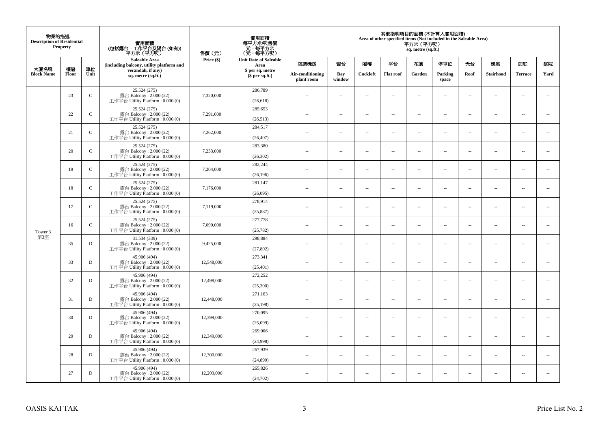| 物業的描述<br><b>Description of Residential</b><br><b>Property</b><br>大廈名稱<br>樓層<br>單位 |       |              | 實用面積<br>(包括露台,工作平台及陽台(如有))<br>平方米(平方呎)                                      | 售價(元)      | 實用面積<br>每平方米/呎售價<br>- 元, 每平方米<br>(元, 每平方呎) | 其他指明項目的面積 (不計算入實用面積)<br>Area of other specified items (Not included in the Saleable Area)<br>平方米 (平方呎)<br>sq. metre (sq.ft.) |                          |                          |                          |                          |                          |                          |                          |                          |                             |  |
|-----------------------------------------------------------------------------------|-------|--------------|-----------------------------------------------------------------------------|------------|--------------------------------------------|------------------------------------------------------------------------------------------------------------------------------|--------------------------|--------------------------|--------------------------|--------------------------|--------------------------|--------------------------|--------------------------|--------------------------|-----------------------------|--|
|                                                                                   |       |              | <b>Saleable Area</b><br>(including balcony, utility platform and            | Price (\$) | <b>Unit Rate of Saleable</b><br>Area       | 空調機房                                                                                                                         | 窗台                       | 閣樓                       | 平台                       | 花園                       | 停車位                      | 天台                       | 梯屋                       | 前庭                       | 庭院                          |  |
| <b>Block Name</b>                                                                 | Floor | Unit         | verandah, if any)<br>sq. metre (sq.ft.)                                     |            | \$ per sq. metre<br>\$per sq.ft.)          | Air-conditioning<br>plant room                                                                                               | Bay<br>window            | Cockloft                 | <b>Flat</b> roof         | Garden                   | Parking<br>space         | Roof                     | Stairhood                | <b>Terrace</b>           | Yard                        |  |
|                                                                                   | 23    | $\mathbf C$  | 25.524 (275)<br>露台 Balcony: 2.000 (22)<br>工作平台 Utility Platform: 0.000 (0)  | 7,320,000  | 286,789<br>(26, 618)                       | $\ddot{\phantom{a}}$                                                                                                         | $\overline{\phantom{a}}$ | $\sim$                   | μ.                       | $\sim$                   | $\sim$                   | $\overline{\phantom{a}}$ | Ξ.                       | $\ddot{\phantom{a}}$     | $\overline{\phantom{a}}$    |  |
|                                                                                   | 22    | $\mathbf C$  | 25.524 (275)<br>露台 Balcony: 2.000 (22)<br>工作平台 Utility Platform: 0.000 (0)  | 7,291,000  | 285,653<br>(26,513)                        | $\sim$                                                                                                                       | $\overline{a}$           | $\sim$                   | $\sim$                   | $\sim$                   | $\sim$                   | $\sim$                   | $\sim$                   | $\sim$                   | $\mathcal{L}_{\mathcal{A}}$ |  |
|                                                                                   | 21    | $\mathbf C$  | 25.524 (275)<br>露台 Balcony: 2.000 (22)<br>工作平台 Utility Platform : 0.000 (0) | 7,262,000  | 284,517<br>(26, 407)                       | $\sim$                                                                                                                       | $\overline{\phantom{a}}$ | $\overline{\phantom{a}}$ | --                       | $\overline{\phantom{a}}$ | $\overline{\phantom{a}}$ | $\overline{\phantom{a}}$ | $\overline{\phantom{a}}$ | $\overline{\phantom{a}}$ | $\overline{\phantom{a}}$    |  |
|                                                                                   | 20    | $\mathsf{C}$ | 25.524 (275)<br>露台 Balcony: 2.000 (22)<br>工作平台 Utility Platform: 0.000 (0)  | 7,233,000  | 283,380<br>(26, 302)                       | $\sim$                                                                                                                       | $\overline{\phantom{a}}$ | $\sim$                   | $\sim$                   | $\overline{\phantom{a}}$ | $\sim$                   | $\sim$                   | $\sim$                   | $\overline{\phantom{a}}$ | $\sim$                      |  |
|                                                                                   | 19    | $\mathbf C$  | 25.524 (275)<br>露台 Balcony: 2.000 (22)<br>工作平台 Utility Platform: 0.000 (0)  | 7,204,000  | 282,244<br>(26, 196)                       |                                                                                                                              | μ.                       | ÷.                       | μ.                       | $\sim$                   | $\sim$                   | $\sim$                   | Ξ.                       | $\ddot{\phantom{a}}$     | $\sim$                      |  |
|                                                                                   | 18    | $\mathbf C$  | 25.524 (275)<br>露台 Balcony: 2.000 (22)<br>工作平台 Utility Platform: 0.000 (0)  | 7,176,000  | 281,147<br>(26,095)                        | ×.                                                                                                                           | $\sim$                   | $\sim$                   | $\sim$                   | $\sim$                   | $\sim$                   | $\sim$                   | $\overline{a}$           | $\sim$                   | $\sim$                      |  |
|                                                                                   | 17    | $\mathbf C$  | 25.524 (275)<br>露台 Balcony: 2.000 (22)<br>工作平台 Utility Platform: 0.000 (0)  | 7,119,000  | 278,914<br>(25, 887)                       | $\sim$                                                                                                                       | $\overline{\phantom{a}}$ | $\sim$                   | $\overline{\phantom{a}}$ | $\overline{\phantom{a}}$ | $\overline{\phantom{a}}$ | $\overline{\phantom{a}}$ | $\overline{\phantom{a}}$ | $\overline{\phantom{a}}$ | $\overline{\phantom{a}}$    |  |
| Tower 3                                                                           | 16    | $\mathsf{C}$ | 25.524 (275)<br>露台 Balcony: 2.000 (22)<br>工作平台 Utility Platform: 0.000 (0)  | 7,090,000  | 277,778<br>(25, 782)                       | $\sim$                                                                                                                       | $\overline{a}$           | $\sim$                   | $\sim$                   | $\overline{a}$           | $\sim$                   | $\overline{\phantom{a}}$ | $\overline{\phantom{a}}$ | $\sim$                   | $\overline{\phantom{a}}$    |  |
| 第3座                                                                               | 35    | $\mathbf D$  | 31.534 (339)<br>露台 Balcony: 2.000 (22)<br>工作平台 Utility Platform: 0.000 (0)  | 9,425,000  | 298,884<br>(27, 802)                       | $\overline{\phantom{a}}$                                                                                                     | $\sim$                   | $\sim$                   | $\sim$                   | $\sim$                   | $\sim$                   | $\overline{\phantom{a}}$ | $\overline{a}$           | $\sim$                   | $\ddot{\phantom{a}}$        |  |
|                                                                                   | 33    | $\mathbf D$  | 45.906 (494)<br>露台 Balcony: 2.000 (22)<br>工作平台 Utility Platform : 0.000 (0) | 12,548,000 | 273,341<br>(25, 401)                       | $\sim$                                                                                                                       | $\sim$                   | $\sim$                   | $\sim$                   | $\sim$ $\sim$            | $\overline{\phantom{a}}$ | $\sim$                   | $\sim$                   | $\overline{\phantom{a}}$ | $\overline{\phantom{a}}$    |  |
|                                                                                   | 32    | D            | 45.906 (494)<br>露台 Balcony: 2.000 (22)<br>工作平台 Utility Platform : 0.000 (0) | 12,498,000 | 272,252<br>(25,300)                        |                                                                                                                              | $\overline{\phantom{a}}$ | $\sim$                   | μ.                       | $\sim$                   | $\sim$                   | $\overline{\phantom{a}}$ | Ξ.                       | $\ddot{\phantom{a}}$     | $\sim$                      |  |
|                                                                                   | 31    | D            | 45.906 (494)<br>露台 Balcony: 2.000 (22)<br>工作平台 Utility Platform : 0.000 (0) | 12,448,000 | 271,163<br>(25, 198)                       | $\sim$                                                                                                                       | $\overline{a}$           | $\sim$                   | $\sim$                   | $\overline{a}$           | $\sim$                   | $\overline{\phantom{a}}$ | $\overline{\phantom{a}}$ | $\sim$                   | $\sim$                      |  |
|                                                                                   | 30    | D            | 45.906 (494)<br>露台 Balcony: 2.000 (22)<br>工作平台 Utility Platform : 0.000 (0) | 12,399,000 | 270,095<br>(25,099)                        | 44                                                                                                                           | $\overline{\phantom{a}}$ | $\sim$                   | μ.                       | $\overline{\phantom{a}}$ | $\sim$                   | $\overline{\phantom{a}}$ | Ξ.                       | $\ddot{\phantom{a}}$     | $\sim$                      |  |
|                                                                                   | 29    | $\mathbf D$  | 45.906 (494)<br>露台 Balcony: 2.000 (22)<br>工作平台 Utility Platform : 0.000 (0) | 12,349,000 | 269,006<br>(24,998)                        | $\sim$                                                                                                                       | $\sim$                   | $\sim$                   | $\sim$                   | $\sim$ $\sim$            | $\sim$                   | $\sim$                   | $\sim$                   | $\sim$                   | $\sim$                      |  |
|                                                                                   | 28    | D            | 45.906 (494)<br>露台 Balcony: 2.000 (22)<br>工作平台 Utility Platform: 0.000 (0)  | 12,300,000 | 267,939<br>(24, 899)                       | $\sim$                                                                                                                       | $\overline{\phantom{a}}$ | $\sim$                   | μ.                       | $\overline{\phantom{a}}$ | $\sim$                   | $\overline{\phantom{a}}$ | $\overline{\phantom{a}}$ | $\sim$                   | $\sim$                      |  |
|                                                                                   | 27    | D            | 45.906 (494)<br>露台 Balcony: 2.000 (22)<br>工作平台 Utility Platform: 0.000 (0)  | 12,203,000 | 265,826<br>(24, 702)                       | $\sim$                                                                                                                       | $\sim$                   | $\sim$                   | $\sim$                   | $\sim$ $\sim$            | $\sim$                   | $\overline{\phantom{a}}$ | $\sim$                   | $\sim$                   | $\sim$                      |  |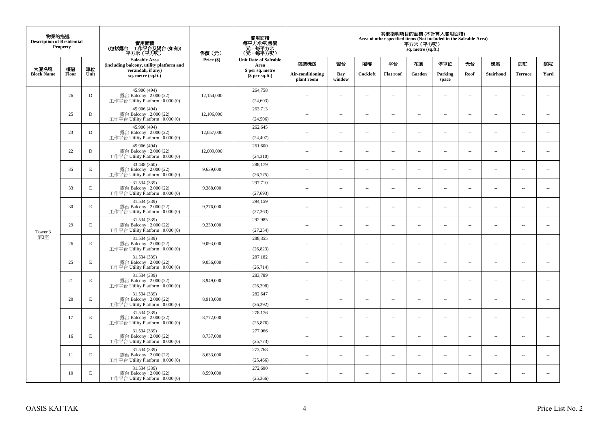| 物業的描述<br><b>Description of Residential</b><br><b>Property</b><br>單位<br>大廈名稱<br>樓層 |       |             | 實用面積<br>(包括露台,工作平台及陽台(如有))<br>平方米(平方呎)                                       | 售價(元)      | 實用面積<br>每平方米/呎售價<br>- 元, 每平方米<br>(元, 每平方呎) |                                | 其他指明項目的面積 (不計算入實用面積)<br>Area of other specified items (Not included in the Saleable Area)<br>平方米 (平方呎)<br>sq. metre (sq.ft.) |                          |                  |                          |                              |                          |                          |                          |                             |    |     |    |    |    |    |
|-----------------------------------------------------------------------------------|-------|-------------|------------------------------------------------------------------------------|------------|--------------------------------------------|--------------------------------|------------------------------------------------------------------------------------------------------------------------------|--------------------------|------------------|--------------------------|------------------------------|--------------------------|--------------------------|--------------------------|-----------------------------|----|-----|----|----|----|----|
|                                                                                   |       |             | <b>Saleable Area</b><br>(including balcony, utility platform and             |            |                                            |                                | Price (\$)                                                                                                                   |                          |                  | Area                     | <b>Unit Rate of Saleable</b> | 空調機房                     | 窗台                       | 閣樓                       | 平台                          | 花園 | 停車位 | 天台 | 梯屋 | 前庭 | 庭院 |
| <b>Block Name</b>                                                                 | Floor | Unit        | verandah, if any)<br>sq. metre (sq.ft.)                                      |            | \$ per sq. metre<br>\$per sq.ft.)          | Air-conditioning<br>plant room | Bay<br>window                                                                                                                | Cockloft                 | <b>Flat</b> roof | Garden                   | Parking<br>space             | Roof                     | Stairhood                | <b>Terrace</b>           | Yard                        |    |     |    |    |    |    |
|                                                                                   | 26    | $\mathbf D$ | 45.906 (494)<br>露台 Balcony: 2.000 (22)<br>工作平台 Utility Platform: 0.000 (0)   | 12,154,000 | 264,758<br>(24, 603)                       | $\ddot{\phantom{a}}$           | $\overline{\phantom{a}}$                                                                                                     | $\sim$                   | μ.               | $\sim$                   | $\sim$                       | $\overline{\phantom{a}}$ | Ξ.                       | $\ddot{\phantom{a}}$     | $\overline{\phantom{a}}$    |    |     |    |    |    |    |
|                                                                                   | 25    | $\mathbf D$ | 45.906 (494)<br>露台 Balcony: 2.000 (22)<br>工作平台 Utility Platform: 0.000 (0)   | 12,106,000 | 263,713<br>(24, 506)                       | $\sim$                         | $\overline{a}$                                                                                                               | $\sim$                   | $\sim$           | $\sim$                   | $\sim$                       | $\sim$                   | $\sim$                   | $\sim$                   | $\mathcal{L}_{\mathcal{A}}$ |    |     |    |    |    |    |
|                                                                                   | 23    | $\mathbf D$ | 45.906 (494)<br>露台 Balcony: 2.000 (22)<br>工作平台 Utility Platform : 0.000 (0)  | 12,057,000 | 262,645<br>(24, 407)                       | $\overline{\phantom{a}}$       | $\overline{\phantom{a}}$                                                                                                     | $\overline{\phantom{a}}$ | --               | $\overline{\phantom{a}}$ | $\overline{\phantom{a}}$     | $\overline{\phantom{a}}$ | $\overline{\phantom{a}}$ | $\overline{\phantom{a}}$ | $\overline{\phantom{a}}$    |    |     |    |    |    |    |
|                                                                                   | 22    | $\mathbf D$ | 45.906 (494)<br>露台 Balcony: 2.000 (22)<br>工作平台 Utility Platform: 0.000 (0)   | 12,009,000 | 261,600<br>(24, 310)                       | $\sim$                         | $\overline{\phantom{a}}$                                                                                                     | $\sim$                   | $\sim$           | $\overline{\phantom{a}}$ | $\sim$                       | $\sim$                   | $\sim$                   | $\overline{a}$           | $\sim$                      |    |     |    |    |    |    |
|                                                                                   | 35    | $\mathbf E$ | 33.448 (360)<br>露台 Balcony: 2.000 (22)<br>工作平台 Utility Platform: 0.000 (0)   | 9,639,000  | 288,179<br>(26,775)                        |                                | ш.                                                                                                                           | ÷.                       | μ.               | $\sim$                   | $\sim$                       | $\sim$                   | Ξ.                       | $\ddot{\phantom{a}}$     | $\sim$                      |    |     |    |    |    |    |
|                                                                                   | 33    | $\mathbf E$ | 31.534 (339)<br>露台 Balcony: 2.000 (22)<br>工作平台 Utility Platform: 0.000 (0)   | 9,388,000  | 297,710<br>(27, 693)                       | ×.                             | $\sim$                                                                                                                       | $\sim$                   | $\sim$           | $\sim$                   | $\sim$                       | $\sim$                   | $\overline{a}$           | $\sim$                   | $\sim$                      |    |     |    |    |    |    |
|                                                                                   | 30    | E           | 31.534 (339)<br>露台 Balcony: 2.000 (22)<br>工作平台 Utility Platform: 0.000 (0)   | 9,276,000  | 294,159<br>(27, 363)                       | $\sim$                         | $\overline{\phantom{a}}$                                                                                                     | $\sim$                   | μ.               | $\overline{\phantom{a}}$ | $\overline{\phantom{a}}$     | $\overline{\phantom{a}}$ | $\overline{\phantom{a}}$ | $\overline{\phantom{a}}$ | $\overline{\phantom{a}}$    |    |     |    |    |    |    |
| Tower 3                                                                           | 29    | E           | 31.534 (339)<br>露台 Balcony: 2.000 (22)<br>工作平台 Utility Platform: 0.000 (0)   | 9,239,000  | 292,985<br>(27, 254)                       | $\sim$                         | $\overline{a}$                                                                                                               | $\sim$                   | $\sim$           | $\overline{a}$           | $\sim$                       | $\overline{\phantom{a}}$ | $\overline{a}$           | $\sim$                   | $\overline{\phantom{a}}$    |    |     |    |    |    |    |
| 第3座                                                                               | 26    | $\mathbf E$ | 31.534 (339)<br>露台 Balcony: 2.000 (22)<br>工作平台 Utility Platform: 0.000 (0)   | 9,093,000  | 288,355<br>(26, 823)                       | $\overline{\phantom{a}}$       | $\sim$                                                                                                                       | $\sim$                   | $\sim$           | $\sim$                   | $\sim$                       | $\overline{\phantom{a}}$ | $\overline{a}$           | $\sim$                   | $\sim$                      |    |     |    |    |    |    |
|                                                                                   | 25    | $\mathbf E$ | 31.534 (339)<br>露台 Balcony: 2.000 (22)<br>工作平台 Utility Platform: 0.000 (0)   | 9,056,000  | 287,182<br>(26, 714)                       | $\sim$                         | $\sim$                                                                                                                       | $\sim$                   | $\sim$           | $\sim$ $\sim$            | $\overline{\phantom{a}}$     | $\sim$                   | $\sim$                   | $\overline{\phantom{a}}$ | $\overline{\phantom{a}}$    |    |     |    |    |    |    |
|                                                                                   | 21    | E           | 31.534 (339)<br>露台 Balcony: 2.000 (22)<br>工作平台 Utility Platform : 0.000 (0)  | 8,949,000  | 283,789<br>(26, 398)                       |                                | $\overline{\phantom{a}}$                                                                                                     | $\sim$                   | μ.               | $\sim$                   | $\sim$                       | $\overline{\phantom{a}}$ | Ξ.                       | $\ddot{\phantom{a}}$     | $\sim$                      |    |     |    |    |    |    |
|                                                                                   | 20    | E           | 31.534 (339)<br>露台 Balcony: 2.000 (22)<br>工作平台 Utility Platform : 0.000 (0)  | 8,913,000  | 282,647<br>(26,292)                        | $\sim$                         | $\overline{a}$                                                                                                               | $\sim$                   | $\sim$           | $\overline{a}$           | $\sim$                       | $\overline{\phantom{a}}$ | $\overline{a}$           | $\sim$                   | $\sim$                      |    |     |    |    |    |    |
|                                                                                   | 17    | $\mathbf E$ | 31.534 (339)<br>露台 Balcony: 2.000 (22)<br>工作平台 Utility Platform : 0.000 (0)  | 8,772,000  | 278,176<br>(25, 876)                       | 44                             | $\overline{\phantom{a}}$                                                                                                     | $\sim$                   | μ.               | $\overline{\phantom{a}}$ | $\sim$                       | $\overline{\phantom{a}}$ | Ξ.                       | $\ddot{\phantom{a}}$     | $\sim$                      |    |     |    |    |    |    |
|                                                                                   | 16    | E           | 31.534 (339)<br>露台 Balcony: 2.000 (22)<br>工作平台 Utility Platform : 0.000 (0)  | 8,737,000  | 277,066<br>(25, 773)                       | $\sim$                         | $\sim$                                                                                                                       | $\sim$                   | $\sim$           | $\sim$ $\sim$            | $\sim$                       | $\sim$                   | $\sim$                   | $\sim$                   | $\sim$                      |    |     |    |    |    |    |
|                                                                                   | 11    | E           | 31.534 (339)<br>露台 Balcony: 2.000 (22)<br>工作平台 Utility Platform : $0.000(0)$ | 8,633,000  | 273,768<br>(25, 466)                       | $\sim$                         | $\overline{\phantom{a}}$                                                                                                     | $\sim$                   | μ.               | $\overline{\phantom{a}}$ | $\sim$                       | $\overline{\phantom{a}}$ | $\overline{\phantom{a}}$ | $\sim$                   | $\sim$                      |    |     |    |    |    |    |
|                                                                                   | 10    | E           | 31.534 (339)<br>露台 Balcony: 2.000 (22)<br>工作平台 Utility Platform: 0.000 (0)   | 8,599,000  | 272,690<br>(25,366)                        | $\sim$                         | $\sim$                                                                                                                       | $\sim$                   | $\sim$           | $\sim$ $\sim$            | $\sim$                       | $\overline{\phantom{a}}$ | $\sim$                   | $\sim$                   | $\sim$                      |    |     |    |    |    |    |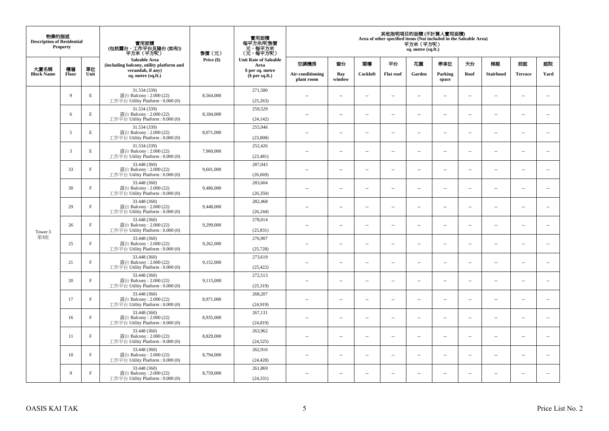| 物業的描述<br><b>Description of Residential</b><br>Property<br>單位<br>大廈名稱<br>樓層 |       |             | 實用面積<br>(包括露台,工作平台及陽台(如有))<br>平方米(平方呎)                                      | 售價(元)      | 實用面積<br>每平方米/呎售價<br>- 元, 每平方米<br>(元, 每平方呎) | 其他指明項目的面積 (不計算入實用面積)<br>Area of other specified items (Not included in the Saleable Area)<br>平方米 (平方呎)<br>sq. metre (sq.ft.) |                          |                          |                  |                          |                                      |                          |                          |                          |                          |    |     |    |    |    |    |
|----------------------------------------------------------------------------|-------|-------------|-----------------------------------------------------------------------------|------------|--------------------------------------------|------------------------------------------------------------------------------------------------------------------------------|--------------------------|--------------------------|------------------|--------------------------|--------------------------------------|--------------------------|--------------------------|--------------------------|--------------------------|----|-----|----|----|----|----|
|                                                                            |       |             | <b>Saleable Area</b><br>(including balcony, utility platform and            | Price (\$) |                                            |                                                                                                                              |                          |                          |                  |                          | <b>Unit Rate of Saleable</b><br>Area | 空調機房                     | 窗台                       | 閣樓                       | 平台                       | 花園 | 停車位 | 天台 | 梯屋 | 前庭 | 庭院 |
| <b>Block Name</b>                                                          | Floor | Unit        | verandah, if any)<br>sq. metre (sq.ft.)                                     |            | \$ per sq. metre<br>\$per sq.ft.)          | Air-conditioning<br>plant room                                                                                               | Bay<br>window            | Cockloft                 | <b>Flat</b> roof | Garden                   | Parking<br>space                     | Roof                     | Stairhood                | <b>Terrace</b>           | Yard                     |    |     |    |    |    |    |
|                                                                            | 9     | E           | 31.534 (339)<br>露台 Balcony: 2.000 (22)<br>工作平台 Utility Platform: 0.000 (0)  | 8,564,000  | 271,580<br>(25, 263)                       | $\ddot{\phantom{a}}$                                                                                                         | $\overline{\phantom{a}}$ | $\sim$                   | μ.               | $\sim$                   | $\sim$                               | $\overline{\phantom{a}}$ | Ξ.                       | $\ddot{\phantom{a}}$     | $\overline{\phantom{a}}$ |    |     |    |    |    |    |
|                                                                            | 6     | E           | 31.534 (339)<br>露台 Balcony: 2.000 (22)<br>工作平台 Utility Platform: 0.000 (0)  | 8,184,000  | 259,529<br>(24, 142)                       | $\sim$                                                                                                                       | $\overline{a}$           | $\sim$                   | $\sim$           | $\sim$                   | $\sim$                               | $\sim$                   | $\sim$                   | $\sim$                   | $\mathbf{u}$             |    |     |    |    |    |    |
|                                                                            | 5     | $\mathbf E$ | 31.534 (339)<br>露台 Balcony: 2.000 (22)<br>工作平台 Utility Platform : 0.000 (0) | 8,071,000  | 255,946<br>(23,808)                        | $\overline{\phantom{a}}$                                                                                                     | $\overline{\phantom{a}}$ | $\overline{\phantom{a}}$ | --               | $\overline{\phantom{a}}$ | $\overline{\phantom{a}}$             | $\overline{\phantom{a}}$ | $\overline{\phantom{a}}$ | $\overline{\phantom{a}}$ | $\overline{\phantom{a}}$ |    |     |    |    |    |    |
|                                                                            | 3     | E           | 31.534 (339)<br>露台 Balcony: 2.000 (22)<br>工作平台 Utility Platform: 0.000 (0)  | 7,960,000  | 252,426<br>(23, 481)                       | $\sim$                                                                                                                       | $\overline{\phantom{a}}$ | $\sim$                   | $\sim$           | $\overline{\phantom{a}}$ | $\sim$                               | $\sim$                   | $\sim$                   | $\overline{a}$           | $\sim$                   |    |     |    |    |    |    |
|                                                                            | 33    | $\mathbf F$ | 33.448 (360)<br>露台 Balcony: 2.000 (22)<br>工作平台 Utility Platform: 0.000 (0)  | 9,601,000  | 287,043<br>(26, 669)                       |                                                                                                                              | μ.                       | ÷.                       | μ.               | $\sim$                   | $\sim$                               | $\sim$                   | Ξ.                       | $\ddot{\phantom{a}}$     | $\sim$                   |    |     |    |    |    |    |
|                                                                            | 30    | $\mathbf F$ | 33.448 (360)<br>露台 Balcony: 2.000 (22)<br>工作平台 Utility Platform: 0.000 (0)  | 9,486,000  | 283,604<br>(26, 350)                       | ×.                                                                                                                           | $\sim$                   | $\sim$                   | $\sim$           | $\sim$                   | $\sim$                               | $\sim$                   | $\overline{a}$           | $\sim$                   | $\sim$                   |    |     |    |    |    |    |
|                                                                            | 29    | $\mathbf F$ | 33.448 (360)<br>露台 Balcony: 2.000 (22)<br>工作平台 Utility Platform: 0.000 (0)  | 9,448,000  | 282,468<br>(26, 244)                       | $\sim$                                                                                                                       | $\overline{\phantom{a}}$ | $\sim$                   | μ.               | $\overline{\phantom{a}}$ | $\overline{\phantom{a}}$             | $\overline{\phantom{a}}$ | $\overline{\phantom{a}}$ | $\overline{\phantom{a}}$ | $\overline{\phantom{a}}$ |    |     |    |    |    |    |
| Tower 3                                                                    | 26    | $_{\rm F}$  | 33.448 (360)<br>露台 Balcony: 2.000 (22)<br>工作平台 Utility Platform: 0.000 (0)  | 9,299,000  | 278,014<br>(25, 831)                       | $\sim$                                                                                                                       | $\overline{a}$           | $\sim$                   | $\sim$           | $\overline{a}$           | $\sim$                               | $\overline{\phantom{a}}$ | $\overline{\phantom{a}}$ | $\sim$                   | $\overline{\phantom{a}}$ |    |     |    |    |    |    |
| 第3座                                                                        | 25    | $\mathbf F$ | 33.448 (360)<br>露台 Balcony: 2.000 (22)<br>工作平台 Utility Platform: 0.000 (0)  | 9,262,000  | 276,907<br>(25, 728)                       | $\overline{\phantom{a}}$                                                                                                     | $\sim$                   | $\sim$                   | $\sim$           | $\sim$                   | $\sim$                               | $\overline{\phantom{a}}$ | $\overline{a}$           | $\sim$                   | $\ddot{\phantom{a}}$     |    |     |    |    |    |    |
|                                                                            | 21    | $\mathbf F$ | 33.448 (360)<br>露台 Balcony: 2.000 (22)<br>工作平台 Utility Platform : 0.000 (0) | 9,152,000  | 273,619<br>(25, 422)                       | $\sim$                                                                                                                       | $\sim$                   | $\sim$                   | $\sim$           | $\sim$ $\sim$            | $\overline{\phantom{a}}$             | $\sim$                   | $\sim$                   | $\overline{\phantom{a}}$ | $\overline{\phantom{a}}$ |    |     |    |    |    |    |
|                                                                            | 20    | $\mathbf F$ | 33.448 (360)<br>露台 Balcony: 2.000 (22)<br>工作平台 Utility Platform : 0.000 (0) | 9,115,000  | 272,513<br>(25,319)                        |                                                                                                                              | $\overline{\phantom{a}}$ | $\sim$                   | μ.               | $\sim$                   | $\sim$                               | $\overline{\phantom{a}}$ | Ξ.                       | $\ddot{\phantom{a}}$     | $\sim$                   |    |     |    |    |    |    |
|                                                                            | 17    | $\mathbf F$ | 33.448 (360)<br>露台 Balcony: 2.000 (22)<br>工作平台 Utility Platform : 0.000 (0) | 8.971.000  | 268,207<br>(24,919)                        | $\sim$                                                                                                                       | $\overline{a}$           | $\sim$                   | $\sim$           | $\overline{a}$           | $\sim$                               | $\overline{\phantom{a}}$ | $\overline{\phantom{a}}$ | $\sim$                   | $\sim$                   |    |     |    |    |    |    |
|                                                                            | 16    | $\mathbf F$ | 33.448 (360)<br>露台 Balcony: 2.000 (22)<br>工作平台 Utility Platform : 0.000 (0) | 8,935,000  | 267,131<br>(24, 819)                       | 44                                                                                                                           | $\overline{\phantom{a}}$ | $\sim$                   | μ.               | $\overline{\phantom{a}}$ | $\sim$                               | $\overline{\phantom{a}}$ | Ξ.                       | $\ddot{\phantom{a}}$     | $\sim$                   |    |     |    |    |    |    |
|                                                                            | 11    | $\mathbf F$ | 33.448 (360)<br>露台 Balcony: 2.000 (22)<br>工作平台 Utility Platform : 0.000 (0) | 8,829,000  | 263,962<br>(24, 525)                       | $\sim$                                                                                                                       | $\sim$                   | $\sim$                   | $\sim$           | $\sim$ $\sim$            | $\sim$                               | $\sim$                   | $\sim$                   | $\sim$                   | $\sim$                   |    |     |    |    |    |    |
|                                                                            | 10    | $_{\rm F}$  | 33.448 (360)<br>露台 Balcony: 2.000 (22)<br>工作平台 Utility Platform: 0.000 (0)  | 8,794,000  | 262,916<br>(24, 428)                       | $\sim$ $\sim$                                                                                                                | $\overline{\phantom{a}}$ | $\sim$                   | μ.               | $\overline{\phantom{a}}$ | $\sim$                               | $\overline{\phantom{a}}$ | $\overline{\phantom{a}}$ | $\sim$                   | $\sim$                   |    |     |    |    |    |    |
|                                                                            | 9     | $\rm F$     | 33.448 (360)<br>露台 Balcony: 2.000 (22)<br>工作平台 Utility Platform: 0.000 (0)  | 8,759,000  | 261,869<br>(24, 331)                       | $\sim$                                                                                                                       | $\sim$                   | $\sim$                   | $\sim$           | $\sim$ $\sim$            | $\sim$                               | $\overline{\phantom{a}}$ | $\sim$                   | $\sim$                   | $\sim$                   |    |     |    |    |    |    |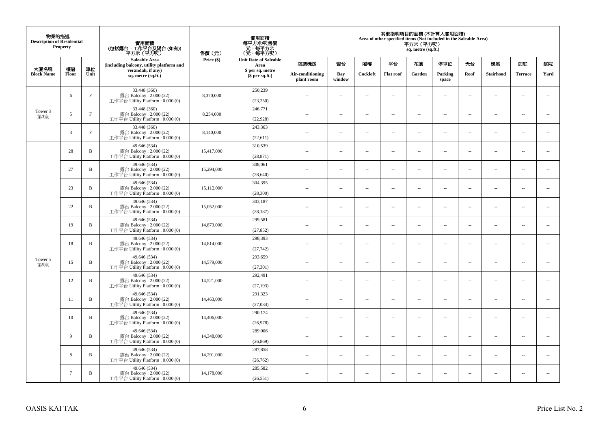| 物業的描述<br><b>Description of Residential</b><br>Property<br>大廈名稱<br>樓層<br>單位 |                 |              | 實用面積<br>(包括露台,工作平台及陽台(如有))<br>平方米 (平方呎)                                      | 售價(元)      | 實用面積<br>每平方米/呎售價<br>- 元, 每平方米<br>(元, 每平方呎) | 其他指明項目的面積 (不計算入實用面積)<br>Area of other specified items (Not included in the Saleable Area)<br>平方米(平方呎)<br>sq. metre (sq.ft.) |                          |                          |                          |                          |        |                                |                          |                          |                          |        |                  |      |           |                |      |
|----------------------------------------------------------------------------|-----------------|--------------|------------------------------------------------------------------------------|------------|--------------------------------------------|-----------------------------------------------------------------------------------------------------------------------------|--------------------------|--------------------------|--------------------------|--------------------------|--------|--------------------------------|--------------------------|--------------------------|--------------------------|--------|------------------|------|-----------|----------------|------|
|                                                                            |                 |              | <b>Saleable Area</b><br>(including balcony, utility platform and             | Price (\$) | <b>Unit Rate of Saleable</b><br>Area       | 空調機房                                                                                                                        | 窗台                       | 閣樓                       | 平台                       | 花園                       | 停車位    | 夭台                             | 梯屋                       | 前庭                       | 庭院                       |        |                  |      |           |                |      |
| <b>Block Name</b>                                                          | Floor           | Unit         | verandah, if any)<br>sq. metre (sq.ft.)                                      |            | \$per sq.ft.)                              |                                                                                                                             |                          | \$ per sq. metre         |                          |                          |        | Air-conditioning<br>plant room | Bay<br>window            | Cockloft                 | <b>Flat roof</b>         | Garden | Parking<br>space | Roof | Stairhood | <b>Terrace</b> | Yard |
|                                                                            | 6               | $\mathbf{F}$ | 33.448 (360)<br>露台 Balcony: 2.000 (22)<br>工作平台 Utility Platform: 0.000 (0)   | 8,370,000  | 250,239<br>(23, 250)                       | $\sim$                                                                                                                      | $\sim$                   | $\sim$                   | $\sim$                   | $\overline{\phantom{a}}$ | $\sim$ | $\overline{\phantom{a}}$       | $\overline{\phantom{a}}$ | $\bar{a}$                | $\sim$                   |        |                  |      |           |                |      |
| Tower 3<br>第3座                                                             | 5               | $\mathbf{F}$ | 33.448 (360)<br>露台 Balcony: 2.000 (22)<br>工作平台 Utility Platform: 0.000 (0)   | 8,254,000  | 246,771<br>(22,928)                        | $\sim$                                                                                                                      | $\sim$                   | $\sim$                   | $\sim$                   | $\overline{\phantom{a}}$ | $\sim$ | $\sim$                         | $\sim$                   | $\sim$                   | $\sim$                   |        |                  |      |           |                |      |
|                                                                            | $\overline{3}$  | $\mathbf{F}$ | 33.448 (360)<br>露台 Balcony: 2.000 (22)<br>工作平台 Utility Platform : $0.000(0)$ | 8,140,000  | 243,363<br>(22,611)                        | $\sim$                                                                                                                      | $\sim$                   | $\sim$                   | $\sim$                   | $\ldots$                 | $\sim$ | $\overline{\phantom{a}}$       | $\overline{\phantom{a}}$ | $\sim$                   | $\overline{\phantom{a}}$ |        |                  |      |           |                |      |
|                                                                            | 28              | $\, {\bf B}$ | 49.646 (534)<br>露台 Balcony: 2.000 (22)<br>工作平台 Utility Platform: 0.000 (0)   | 15,417,000 | 310,539<br>(28, 871)                       | $\sim$                                                                                                                      | $\sim$                   | $\sim$                   | $\sim$                   | $\sim$                   | $\sim$ | $\overline{\phantom{a}}$       | $\sim$                   | $\sim$                   | $\overline{\phantom{a}}$ |        |                  |      |           |                |      |
|                                                                            | 27              | B            | 49.646 (534)<br>露台 Balcony: 2.000 (22)<br>工作平台 Utility Platform: 0.000 (0)   | 15,294,000 | 308,061<br>(28, 640)                       |                                                                                                                             | $\sim$                   | $\sim$                   | $\ddot{\phantom{a}}$     | ш.                       | $\sim$ | $\sim$                         | $\overline{\phantom{a}}$ | $\bar{a}$                | $\sim$                   |        |                  |      |           |                |      |
|                                                                            | 23              | B            | 49.646 (534)<br>露台 Balcony: 2.000 (22)<br>工作平台 Utility Platform: 0.000 (0)   | 15,112,000 | 304,395<br>(28,300)                        | $\sim$                                                                                                                      | $\overline{a}$           | $\sim$                   | $\sim$                   | $\overline{a}$           | $\sim$ | $\sim$                         | $\overline{\phantom{a}}$ | $\sim$                   | $\sim$                   |        |                  |      |           |                |      |
|                                                                            | 22              | B            | 49.646 (534)<br>露台 Balcony: 2.000 (22)<br>工作平台 Utility Platform : $0.000(0)$ | 15,052,000 | 303,187<br>(28, 187)                       | $\sim$ $-$                                                                                                                  | $\sim$                   | $\sim$                   | $\sim$                   | $\overline{\phantom{a}}$ | $\sim$ | $\overline{\phantom{a}}$       | $\overline{\phantom{a}}$ | $\sim$                   | $\overline{\phantom{a}}$ |        |                  |      |           |                |      |
|                                                                            | 19              | $\mathbf B$  | 49.646 (534)<br>露台 Balcony: 2.000 (22)<br>工作平台 Utility Platform: 0.000 (0)   | 14,873,000 | 299,581<br>(27, 852)                       | $\sim$                                                                                                                      | $\sim$                   | $\sim$                   | $\sim$                   | $\sim$                   | $\sim$ | $\sim$                         | $\sim$                   | $\sim$                   | $\sim$                   |        |                  |      |           |                |      |
|                                                                            | 18              | B            | 49.646 (534)<br>露台 Balcony: $2.000(22)$<br>工作平台 Utility Platform: 0.000 (0)  | 14,814,000 | 298,393<br>(27, 742)                       | $\sim$                                                                                                                      | $\sim$                   | $\sim$                   | $\sim$                   | $\overline{\phantom{a}}$ | $\sim$ | $\overline{\phantom{a}}$       | $\overline{\phantom{a}}$ | $\sim$                   | $\overline{\phantom{a}}$ |        |                  |      |           |                |      |
| Tower 5<br>第5座                                                             | 15              | $\mathbf B$  | 49.646 (534)<br>露台 Balcony: 2.000 (22)<br>工作平台 Utility Platform: 0.000 (0)   | 14,579,000 | 293,659<br>(27, 301)                       | $\sim$                                                                                                                      | $\sim$                   | $\sim$                   | $\sim$                   | μ.                       | $\sim$ | $\sim$                         | $\overline{\phantom{a}}$ | $\bar{a}$                | $\sim$                   |        |                  |      |           |                |      |
|                                                                            | 12              | B            | 49.646 (534)<br>露台 Balcony: 2.000 (22)<br>工作平台 Utility Platform : $0.000(0)$ | 14,521,000 | 292,491<br>(27, 193)                       | $-$                                                                                                                         | ÷.                       | $\ddot{\phantom{a}}$     | $\ldots$                 | Ξ.                       | $\sim$ | $\overline{\phantom{a}}$       | $\overline{\phantom{a}}$ | $\sim$                   | $\overline{\phantom{a}}$ |        |                  |      |           |                |      |
|                                                                            | 11              | $\, {\bf B}$ | 49.646 (534)<br>露台 Balcony: 2.000 (22)<br>工作平台 Utility Platform: 0.000 (0)   | 14,463,000 | 291,323<br>(27,084)                        | ×.                                                                                                                          | $\sim$                   | $\sim$                   | $\sim$                   | $\sim$                   | $\sim$ | $\sim$                         | $\sim$                   | $\sim$                   | $\sim$                   |        |                  |      |           |                |      |
|                                                                            | 10              | B            | 49.646 (534)<br>露台 Balcony: 2.000 (22)<br>工作平台 Utility Platform: 0.000 (0)   | 14,406,000 | 290,174<br>(26,978)                        | $-$                                                                                                                         | $\sim$                   | $\sim$                   | $\sim$                   | $\overline{\phantom{a}}$ | $\sim$ | $\sim$                         | $\overline{\phantom{a}}$ | $\overline{\phantom{a}}$ | $\sim$                   |        |                  |      |           |                |      |
|                                                                            | 9               | B            | 49.646 (534)<br>露台 Balcony: 2.000 (22)<br>工作平台 Utility Platform: 0.000 (0)   | 14,348,000 | 289,006<br>(26, 869)                       | $\sim$                                                                                                                      | $\sim$                   | $\sim$                   | $\sim$                   | $\overline{a}$           | $\sim$ | $\sim$                         | $\overline{\phantom{a}}$ | $\sim$                   | $\sim$                   |        |                  |      |           |                |      |
|                                                                            | 8               | B            | 49.646 (534)<br>露台 Balcony: 2.000 (22)<br>工作平台 Utility Platform : $0.000(0)$ | 14.291.000 | 287,858<br>(26, 762)                       | $\sim$ $-$                                                                                                                  | $\sim$                   | $\sim$                   | $\sim$                   | μ.                       | $\sim$ | $\overline{\phantom{a}}$       | $\overline{\phantom{a}}$ | $\overline{\phantom{a}}$ | $\sim$                   |        |                  |      |           |                |      |
|                                                                            | $7\overline{ }$ | B            | 49.646 (534)<br>露台 Balcony: 2.000 (22)<br>工作平台 Utility Platform: 0.000 (0)   | 14,178,000 | 285,582<br>(26.551)                        | $\overline{\phantom{a}}$                                                                                                    | $\overline{\phantom{a}}$ | $\overline{\phantom{a}}$ | $\overline{\phantom{a}}$ | --                       | $\sim$ | $\overline{\phantom{a}}$       | $\cdots$                 | $\ddotsc$                | $\sim$                   |        |                  |      |           |                |      |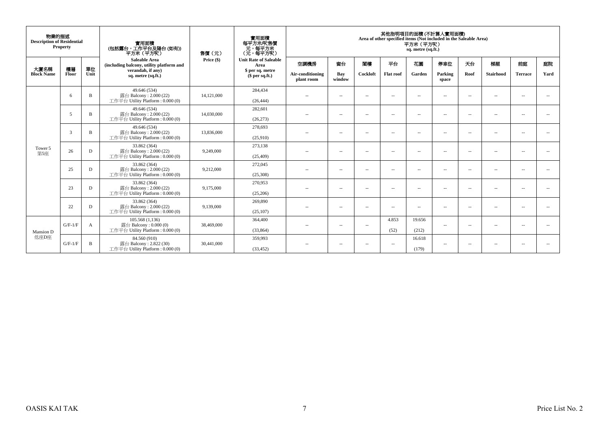| 物業的描述<br><b>Description of Residential</b> | Property       |            | 實用面積<br>(包括露台,工作平台及陽台(如有))<br>平方米(平方呎)                                                                      | 實用面積<br>每平方米/呎售價<br>元,每平方米<br>(元,每平方呎) | 其他指明項目的面積 (不計算入實用面積)<br>Area of other specified items (Not included in the Saleable Area)<br>平方米 (平方呎)<br>sq. metre (sq.ft.) |                                        |                          |                |                          |                 |                         |            |                          |                      |                          |
|--------------------------------------------|----------------|------------|-------------------------------------------------------------------------------------------------------------|----------------------------------------|------------------------------------------------------------------------------------------------------------------------------|----------------------------------------|--------------------------|----------------|--------------------------|-----------------|-------------------------|------------|--------------------------|----------------------|--------------------------|
| 大廈名稱<br><b>Block Name</b>                  | 樓層<br>Floor    | 單位<br>Unit | <b>Saleable Area</b><br>(including balcony, utility platform and<br>verandah, if any)<br>sq. metre (sq.ft.) | Price $(\$)$                           | <b>Unit Rate of Saleable</b><br>Area<br>\$ per sq. metre<br>\$per sq.ft.)                                                    | 空調機房<br>Air-conditioning<br>plant room | 窗台<br>Bay<br>window      | 閣樓<br>Cockloft | 平台<br><b>Flat roof</b>   | 花園<br>Garden    | 停車位<br>Parking<br>space | 天台<br>Roof | 梯屋<br><b>Stairhood</b>   | 前庭<br><b>Terrace</b> | 庭院<br>Yard               |
|                                            | 6              | B          | 49.646 (534)<br>露台 Balcony: $2.000(22)$<br>工作平台 Utility Platform: 0.000 (0)                                 | 14.121,000                             | 284,434<br>(26, 444)                                                                                                         | $\sim$                                 | $\overline{\phantom{a}}$ | $\sim$         | $\overline{\phantom{a}}$ | $\overline{a}$  | $\sim$                  | $\sim$     | $\sim$                   | $\sim$               | $ -$                     |
|                                            | 5              | B          | 49.646 (534)<br>露台 Balcony: $2.000(22)$<br>工作平台 Utility Platform: 0.000 (0)                                 | 14,030,000                             | 282,601<br>(26, 273)                                                                                                         | $\sim$ $\sim$                          | $\overline{\phantom{a}}$ | $\sim$         | $\overline{\phantom{a}}$ | $\overline{a}$  | $\sim$                  | $\sim$     | $\sim$                   | $\sim$               |                          |
|                                            | $\overline{3}$ | B          | 49.646 (534)<br>露台 Balcony: 2.000 (22)<br>工作平台 Utility Platform : $0.000(0)$                                | 13,836,000                             | 278,693<br>(25,910)                                                                                                          | $-$                                    | $\overline{\phantom{a}}$ | $\sim$ $-$     | $\overline{\phantom{a}}$ | $\sim$          | $\sim$                  | $\sim$     | $\sim$                   | $\sim$               | $\sim$                   |
| Tower 5<br>第5座                             | 26             | D          | 33.862 (364)<br>露台 Balcony: 2.000 (22)<br>工作平台 Utility Platform: 0.000 (0)                                  | 9,249,000                              | 273,138<br>(25, 409)                                                                                                         | $-$                                    | $\overline{\phantom{a}}$ | $\sim$         | $\overline{\phantom{a}}$ | $\sim$          | $\sim$                  | $\sim$     | $\overline{\phantom{a}}$ | $\sim$               | $\overline{\phantom{a}}$ |
|                                            | 25             | D          | 33.862 (364)<br>露台 Balcony: $2.000(22)$<br>工作平台 Utility Platform: 0.000 (0)                                 | 9,212,000                              | 272,045<br>(25,308)                                                                                                          | $\sim$ $-$                             | $\overline{\phantom{a}}$ | $\sim$ $-$     | $\sim$                   | $\sim$          | $\sim$ $-$              | $\sim$     | $\sim$                   | $\sim$               | $\sim$                   |
|                                            | 23             | D          | 33.862 (364)<br>露台 Balcony: 2.000 (22)<br>工作平台 Utility Platform: 0.000 (0)                                  | 9,175,000                              | 270,953<br>(25,206)                                                                                                          | $-$                                    | $\overline{\phantom{a}}$ | $\sim$         | $\overline{\phantom{a}}$ | $\overline{a}$  | $\overline{a}$          | $\sim$     | $\sim$                   | $\sim$               | $\sim$                   |
|                                            | 22             | D          | 33.862 (364)<br>露台 Balcony: 2.000 (22)<br>工作平台 Utility Platform: 0.000 (0)                                  | 9,139,000                              | 269,890<br>(25, 107)                                                                                                         | $-$                                    | $\sim$ $-$               | $\sim$ $-$     | $\sim$                   | $\overline{a}$  | $\sim$                  | $\sim$     | $ -$                     | $\sim$               | $\sim$                   |
| Mansion D                                  | $G/F-1/F$      | A          | 105.568(1.136)<br>露台 Balcony: 0.000 (0)<br>工作平台 Utility Platform: 0.000 (0)                                 | 38,469,000                             | 364,400<br>(33, 864)                                                                                                         | $\sim$                                 | $\sim$ $-$               | $\sim$         | 4.853<br>(52)            | 19.656<br>(212) | $\sim$                  | $\sim$     | $\hspace{0.05cm} -$      | $\sim$               | $\overline{\phantom{a}}$ |
| 低座D座                                       | $G/F-1/F$      | B          | 84.560 (910)<br>露台 Balcony: 2.822 (30)<br>工作平台 Utility Platform: 0.000 (0)                                  | 30,441,000                             | 359,993<br>(33, 452)                                                                                                         | $\sim$                                 | $\sim$ $-$               | $\sim$ $\sim$  | $\sim$                   | 16.618<br>(179) | $\sim$                  | $\sim$     | $\sim$                   | - 11                 | $\sim$                   |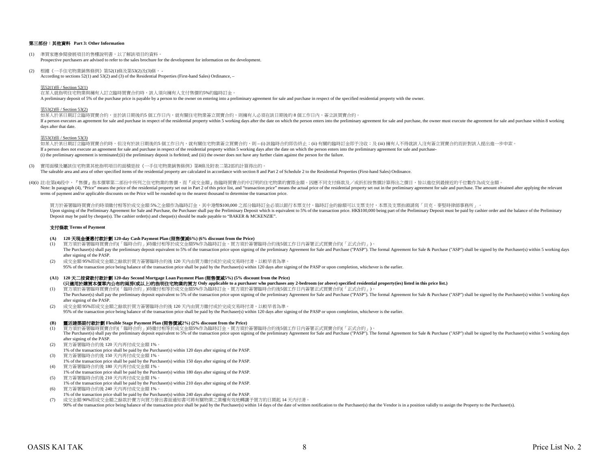## 第三部份:其他資料 **Part 3: Other Information**

- (1) 準買家應參閱發展項目的售樓說明書,以了解該項目的資料。 Prospective purchasers are advised to refer to the sales brochure for the development for information on the development.
- (2) 根據《一手住宅物業銷售條例》第52(1)條及第53(2)及(3)條, According to sections 52(1) and 53(2) and (3) of the Residential Properties (First-hand Sales) Ordinance, –

### 第52(1)條 / Section 52(1)

在某人就指明住宅物業與擁有人訂立臨時買賣合約時,該人須向擁有人支付售價的5%的臨時訂金。

A preliminary deposit of 5% of the purchase price is payable by a person to the owner on entering into a preliminary agreement for sale and purchase in respect of the specified residential property with the owner.

#### 第53(2)條 / Section 53(2)

如某人於某日期訂立臨時買賣合約,並於該日期後的5 個工作日內,就有關住宅物業簽立買賣合約,則擁有人必須在該日期後的 8 個工作日内,簽立該買賣合約。 If a person executes an agreement for sale and purchase in respect of the residential property within 5 working days after the date on which the person enters into the preliminary agreement for sale and purchase, the owner days after that date.

### 第53(3)條 / Section 53(3)

如某人於某日期訂立臨時買賣合約時,但沒有於該日期後的5 個工作日内,就有關住宅物業簽立買賣合約,則 – (i) 該臨時合約即告終止;(ii) 有關的臨時訂金即予沒收;及 (iii) 擁有人不得就該人沒有簽立買賣合約而針對該人提出進一步申索。 If a person does not execute an agreement for sale and purchase in respect of the residential property within 5 working days after the date on which the person enters into the preliminary agreement for sale and purchase- (i) the preliminary agreement is terminated;(ii) the preliminary deposit is forfeited; and (iii) the owner does not have any further claim against the person for the failure.

(3) 實用面積及屬該住宅物業其他指明項目的面積是按《一手住宅物業銷售條例》第8條及附表二第2部的計算得出的。 The saleable area and area of other specified items of the residential property are calculated in accordance with section 8 and Part 2 of Schedule 2 to the Residential Properties (First-hand Sales) Ordinance.

(4)(i) 註:在第(4)段中,『售價』指本價單第二部份中所列之住宅物業的售價,而『成交金額』指臨時買賣合約中訂明的住宅物業的實際金額。因應不同支付條款及/或折扣按售價計算得出之價目,皆以進位到最接近的千位數作為成交金額。 Note: In paragraph (4), "Price" means the price of the residential property set out in Part 2 of this price list, and "transaction price" means the actual price of the residential property set out in the preliminary agreem terms of payment and/or applicable discounts on the Price will be rounded up to the nearest thousand to determine the transaction price.

買方於簽署臨時買賣合約時須繳付相等於成交金額5%之金額作為臨時訂金,其中港幣\$100,000 之部分臨時訂金必須以銀行本票支付,臨時訂金的餘額可以支票支付,本票及支票抬頭請寫「貝克‧麥堅時律師事務所」。 Upon signing of the Preliminary Agreement for Sale and Purchase, the Purchaser shall pay the Preliminary Deposit which is equivalent to 5% of the transaction price. HK\$100,000 being part of the Preliminary Deposit must be Deposit may be paid by cheque(s). The cashier order(s) and cheque(s) should be made payable to "BAKER & MCKENZIE".

## 支付條款 **Terms of Payment**

## **(A) 120** 天現金優惠付款計劃 **120-day Cash Payment Plan (**照售價減**6%) (6% discount from the Price)**

- (1) 買方須於簽署臨時買賣合約(「臨時合約」)時繳付相等於成交金額5%作為臨時訂金。買方須於簽署臨時合約後5個工作日內簽署正式買賣合約(「正式合約」)。 The Purchaser(s) shall pay the preliminary deposit equivalent to 5% of the transaction price upon signing of the preliminary Agreement for Sale and Purchase ("PASP"). The formal Agreement for Sale & Purchase ("ASP") shall after signing of the PASP.
- (2) 成交金額 95%即成交金額之餘款於買方簽署臨時合約後 120 天內由買方繳付或於完成交易時付清,以較早者為準。 95% of the transaction price being balance of the transaction price shall be paid by the Purchaser(s) within 120 days after signing of the PASP or upon completion, whichever is the earlier.
- **(A1) 120** 天二按貸款付款計劃 **120-day Second Mortgage Loan Payment Plan (**照售價減**5%) (5% discount from the Price) (**只適用於購買本價單內公布的兩房**(**或以上**)**的指明住宅物業的買方 **Only applicable to a purchaser who purchases any 2-bedroom (or above) specified residential property(ies) listed in this price list.)**
- (1) 買方須於簽署臨時買賣合約(「臨時合約」)時繳付相等於成交金額5%作為臨時訂金。買方須於簽署臨時合約後5個工作日內簽署正式買賣合約(「正式合約」)。 The Purchaser(s) shall pay the preliminary deposit equivalent to 5% of the transaction price upon signing of the preliminary Agreement for Sale and Purchase ("PASP"). The formal Agreement for Sale & Purchase ("ASP") shall after signing of the PASP.
- (2) 成交金額 95%即成交金額之餘款於買方簽署臨時合約後 120 天內由買方繳付或於完成交易時付清,以較早者為準。 95% of the transaction price being balance of the transaction price shall be paid by the Purchaser(s) within 120 days after signing of the PASP or upon completion, whichever is the earlier.

## **(B)** 靈活建築期付款計劃 **Flexible Stage Payment Plan (**照售價減**2%) (2% discount from the Price)**

- (1) 買方須於簽署臨時買賣合約(「臨時合約」)時繳付相等於成交金額5%作為臨時訂金。買方須於簽署臨時合約後5個工作日內簽署正式買賣合約(「正式合約」)。
- The Purchaser(s) shall pay the preliminary deposit equivalent to 5% of the transaction price upon signing of the preliminary Agreement for Sale and Purchase ("PASP"). The formal Agreement for Sale & Purchase ("ASP") shall after signing of the PASP.
- (2) 買方簽署臨時合約後 120 天內再付成交金額 1%。
- 1% of the transaction price shall be paid by the Purchaser(s) within 120 days after signing of the PASP.
- (3) 買方簽署臨時合約後 150 天內再付成交金額 1%。 1% of the transaction price shall be paid by the Purchaser(s) within 150 days after signing of the PASP. (4) 買方簽署臨時合約後 180 天內再付成交金額 1%。
- 1% of the transaction price shall be paid by the Purchaser(s) within 180 days after signing of the PASP.
- (5) 買方簽署臨時合約後 210 天內再付成交金額 1%。
- 1% of the transaction price shall be paid by the Purchaser(s) within 210 days after signing of the PASP.
- (6) 買方簽署臨時合約後 240 天內再付成交金額 1%。
- 1% of the transaction price shall be paid by the Purchaser(s) within 240 days after signing of the PASP.

(7) 成交金額 90%即成交金額之餘款於賣方向買方發出書面通知書可將有關物業之業權有效地轉讓予買方的日期起 14 天內付清。 90% of the transaction price being balance of the transaction price shall be paid by the Purchaser(s) within 14 days of the date of written notification to the Purchaser(s) that the Vendor is in a position validly to assig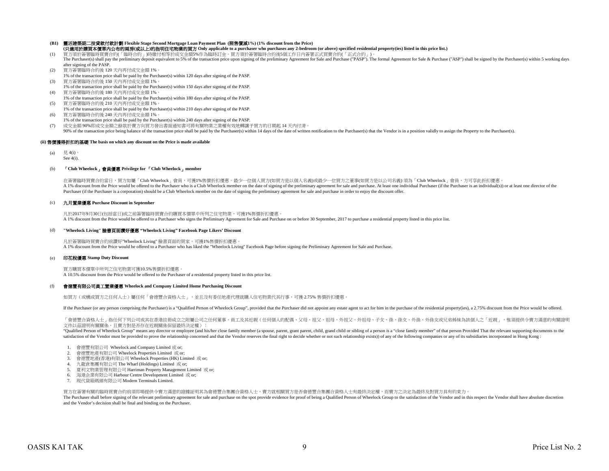## **(B1)** 靈活建築期二按貸款付款計劃 **Flexible Stage Second Mortgage Loan Payment Plan (**照售價減**1%) (1% discount from the Price)**

- (1) 買方須於簽署臨時買賣合約(「臨時合約」)時繳付相等於成交金額5%作為臨時訂金。買方須於簽署臨時合約後5個工作日內簽署正式買賣合約(「正式合約」)。 **(**只適用於購買本價單內公布的兩房**(**或以上**)**的指明住宅物業的買方 **Only applicable to a purchaser who purchases any 2-bedroom (or above) specified residential property(ies) listed in this price list.)**
- The Purchaser(s) shall pay the preliminary deposit equivalent to 5% of the transaction price upon signing of the preliminary Agreement for Sale and Purchase ("PASP"). The formal Agreement for Sale & Purchase ("ASP") shall after signing of the PASP.
- (2) 買方簽署臨時合約後 120 天內再付成交金額 1%。 1% of the transaction price shall be paid by the Purchaser(s) within 120 days after signing of the PASP.
- (3) 買方簽署臨時合約後 150 天內再付成交金額 1%。 1% of the transaction price shall be paid by the Purchaser(s) within 150 days after signing of the PASP.
- (4) 買方簽署臨時合約後 180 天內再付成交金額 1%。 1% of the transaction price shall be paid by the Purchaser(s) within 180 days after signing of the PASP.
- (5) 買方簽署臨時合約後 210 天內再付成交金額 1%。
- 1% of the transaction price shall be paid by the Purchaser(s) within 210 days after signing of the PASP. (6) 買方簽署臨時合約後 240 天內再付成交金額 1%。
- 1% of the transaction price shall be paid by the Purchaser(s) within 240 days after signing of the PASP. (7) 成交金額 90%即成交金額之餘款於賣方向買方發出書面通知書可將有關物業之業權有效地轉讓予買方的日期起 14 天內付清。 90% of the transaction price being balance of the transaction price shall be paid by the Purchaser(s) within 14 days of the date of written notification to the Purchaser(s) that the Vendor is in a position validly to assig

## **(ii)** 售價獲得折扣的基礎 **The basis on which any discount on the Price is made available**

- (a)  $\qquad \qquad \frac{\Box}{\Box} 4(i)$ 。
	- See 4(i).

## (b) 「**Club Wheelock**」會員優惠 **Privilege for** 「**Club Wheelock**」**member**

A 1% discount from the Price would be offered to the Purchaser who is a Club Wheelock member on the date of signing of the preliminary agreement for sale and purchase. At least one individual Purchaser (if the Purchaser is Purchaser (if the Purchaser is a corporation) should be a Club Wheelock member on the date of signing the preliminary agreement for sale and purchase in order to enjoy the discount offer. 在簽署臨時買賣合約當日,買方如屬「Club Wheelock」會員,可獲1%售價折扣優惠。最少一位個人買方(如買方是以個人名義)或最少一位買方之董事(如買方是以公司名義) 須為「Club Wheelock」會員,方可享此折扣優惠。

## (c) 九月置業優惠 **Purchase Discount in September**

凡於2017年9月30日(包括當日)或之前簽署臨時買賣合約購買本價單中所列之住宅物業,可獲1%售價折扣優惠。 A 1% discount from the Price would be offered to a Purchaser who signs the Preliminary Agreement for Sale and Purchase on or before 30 September, 2017 to purchase a residential property listed in this price list.

## (d) **"Wheelock Living"** 臉書頁面讚好優惠 **"Wheelock Living" Facebook Page Likers' Discount**

凡於簽署臨時買賣合約前讚好"Wheelock Living" 臉書頁面的買家,可獲1%售價折扣優惠。 A 1% discount from the Price would be offered to a Purchaser who has liked the "Wheelock Living" Facebook Page before signing the Preliminary Agreement for Sale and Purchase.

## (e) 印花稅優惠 **Stamp Duty Discount**

買方購買本價單中所列之住宅物業可獲10.5%售價折扣優惠。 A 10.5% discount from the Price would be offered to the Purchaser of a residential property listed in this price list.

#### (f) 會德豐有限公司員工置業優惠 **Wheelock and Company Limited Home Purchasing Discount**

如買方(或構成買方之任何人士)屬任何「會德豐合資格人士」,並且沒有委任地產代理就購入住宅物業代其行事,可獲 2.75% 售價折扣優惠。

If the Purchaser (or any person comprising the Purchaser) is a "Qualified Person of Wheelock Group", provided that the Purchaser did not appoint any estate agent to act for him in the purchase of the residential property(i

「會德豐合資格人士」指任何下列公司或其在香港註冊成立之附屬公司之任何董事、員工及其近親(任何個人的配偶、父母、祖父、祖母、外祖父、外祖母、子女、孫、孫女、外孫、外孫女或兄弟姊妹為該個人之「近親」,惟須提供令賣方滿意的有關證明 文件以茲證明有關關係,且賣方對是否存在近親關係保留最終決定權):

"Qualified Person of Wheelock Group" means any director or employee (and his/her close family member (a spouse, parent, grant parent, child, grand child or sibling of a person is a "close family member" of that person Prov satisfaction of the Vendor must be provided to prove the relationship concerned and that the Vendor reserves the final right to decide whether or not such relationship exists)) of any of the following companies or any of i

- 1. 會德豐有限公司 Wheelock and Company Limited 或 or;
- 2. 會德豐地產有限公司 Wheelock Properties Limited 或 or;
- 3. 會德豐地產(香港)有限公司 Wheelock Properties (HK) Limited 或 or;
- 4. 九龍倉集團有限公司 The Wharf (Holdings) Limited 或 or;
- 5. 夏利文物業管理有限公司 Harriman Property Management Limited 或 or;
- 6. 海港企業有限公司 Harbour Centre Development Limited 或 or;
- 7. 現代貨箱碼頭有限公司 Modern Terminals Limited.

買方在簽署有關的臨時買賣合約前須即場提供令賣方滿意的證據証明其為會德豐合集團合資格人士,賣方就相關買方是否會德豐合集團合資格人士有最終決定權,而賣方之決定為最終及對買方具有約束力。 The Purchaser shall before signing of the relevant preliminary agreement for sale and purchase on the spot provide evidence for proof of being a Qualified Person of Wheelock Group to the satisfaction of the Vendor and in t and the Vendor's decision shall be final and binding on the Purchaser.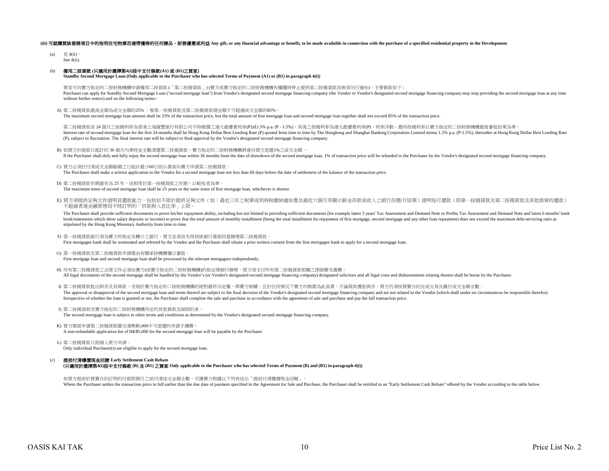## (iii) 可就講買該發展項目中的指明住宅物業而連帶獲得的任何贈品、財務優惠或利益 Any gift, or any financial advantage or benefit, to be made available in connection with the purchase of a specified residential property in the Development

(a)  $\quad \quad \boxplus 4$ (ii)。 See 4(ii).

## (b) 備用二按貸款 **(**只適用於選擇第**4(i)**段中支付條款**(A1)** 或 **(B1)**之買家**)**

**Standby Second Mortgage Loan (Only applicable to the Purchaser who has selected Terms of Payment (A1) or (B1) in paragraph 4(i))**

買家可向賣方指定的二按財務機構申請備用二按貸款 (「第二按揭貨款」) (賣方或賣方指定的二按財務機構有權隨時停止提供第二按揭貨款而無須另行通知),主要條款如下 : Purchaser can apply for Standby Second Mortgage Loan ("second mortgage loan") from Vendor's designated second mortgage financing company (the Vendor or Vendor's designated second mortgage financing company may stop providi without further notice) and on the following terms:-

A) 第二按揭貸款最高金額為成交金額的25% ,惟第一按揭貸款及第二按揭貸款總金額不可超過成交金額的85%。

The maximum second mortgage loan amount shall be 25% of the transaction price, but the total amount of first mortgage loan and second mortgage loan together shall not exceed 85% of the transaction price.

Interest rate of second mortgage loan for the first 24 months shall be Hong Kong Dollar Best Lending Rate (P) quoted from time to time by The Hongkong and Shanghai Banking Corporation Limited minus 1.5% p.a. (P-1.5%), ther (P), subject to fluctuation. The final interest rate will be subject to final approval by the Vendor's designated second mortgage financing company. 第二按揭貸款首 24 個月之按揭利率為香港上海匯豐銀行有限公司不時報價之港元最優惠利率(P)減1.5% p.a. (P - 1.5%),其後之按揭利率為港元最優惠利率(P),利率浮動。最終按揭利率以賣方指定的二按財務機構最後審批結果為準

- B) 如買方於提款日起計的 36 個月內準時並全數清還第二按揭貸款,賣方指定的二按財務機構將會向買方退還1%之成交金額 。 If the Purchaser shall duly and fully repay the second mortgage loan within 36 months from the date of drawdown of the second mortgage loan, 1% of transaction price will be refunded to the Purchaser by the Vendor's designa
- C) 買方必須於付清成交金額餘額之日起計最少60日前以書面向賣方申請第二按揭貸款。 The Purchaser shall make a written application to the Vendor for a second mortgage loan not less than 60 days before the date of settlement of the balance of the transaction price.
- D) 第二按揭貸款年期最長為 25 年,或相等於第一按揭貸款之年期, 以較短者為準。 The maximum tenor of second mortgage loan shall be 25 years or the same tenor of first mortgage loan, whichever is shorter.
- E) 買方須提供足夠文件證明其還款能力,包括但不限於提供足夠文件(如:最近三年之稅單或利得稅繳納通知書及最近六個月有顯示薪金存款或收入之銀行存摺/月結單)證明每月還款(即第一按揭貸款及第二按揭貸款及其他借貸的還款) 不超過香港金融管理局不時訂明的「供款與入息比率」上限。

The Purchaser shall provide sufficient documents to prove his/her repayment ability, including but not limited to providing sufficient documents (for example latest 3 years' Tax Assessment and Demand Note or Profits Tax As book/statements which show salary deposits or income) to prove that the total amount of monthly installment (being the total installment for repayment of first mortgage, second mortgage and any other loan repayment) does n stipulated by the Hong Kong Monetary Authority from time to time.

- F) 第一按揭貸款銀行須為賣方所指定及轉介之銀行,買方並須首先得到該銀行書面同意辦理第二按揭貸款。 First mortgagee bank shall be nominated and referred by the Vendor and the Purchaser shall obtain a prior written consent from the first mortgagee bank to apply for a second mortgage loan.
- G) 第一按揭貸款及第二按揭貸款申請需由有關承按機構獨立審批。 First mortgage loan and second mortgage loan shall be processed by the relevant mortgagees independently.
- H) 所有第二按揭貸款之法律文件必須由賣方(或賣方指定的二按財務機構)的指定律師行辦理,買方須支付所有第二按揭貸款相關之律師費及雜費。 All legal documents of the second mortgage shall be handled by the Vendor's (or Vendor's designated second mortgage financing company) designated solicitors and all legal costs and disbursements relating thereto shall be b
- I) 第二按揭貸款批出與否及其條款,受制於賣方指定的二按財務機構的絕對最終決定權,與賣方無關,且於任何情況下賣方均無需為此負責。不論貸款獲批與否,買方仍須按買賣合約完成交易及繳付成交金額全數。 The approval or disapproval of the second mortgage loan and terms thereof are subject to the final decision of the Vendor's designated second mortgage financing company and are not related to the Vendor (which shall under Irrespective of whether the loan is granted or not, the Purchaser shall complete the sale and purchase in accordance with the agreement of sale and purchase and pay the full transaction price.
- J) 第二按揭貨款受賣方指定的二按財務機構所定的其他條款及細則約束。 The second mortgage loan is subject to other terms and conditions as determined by the Vendor's designated second mortgage financing company.
- K) 買方需就申請第二按揭貸款繳交港幣\$5,000不可退還的申請手續費。 A non-refundable application fee of HK\$5,000 for the second mortgage loan will be payable by the Purchaser.
- L) 第二按揭貸款只限個人買方申請。 Only individual Purchaser(s) are eligible to apply for the second mortgage loan.
- (c) 提前付清樓價現金回贈 **Early Settlement Cash Rebate (**只適用於選擇第**4(i)**段中支付條款 **(B)** 及 **(B1)** 之買家 **Only applicable to the Purchaser who has selected Terms of Payment (B) and (B1) in paragraph 4(i))**

如買方提前於買賣合約訂明的付款限期日之前付清成交金額全數,可獲賣方根據以下列表送出「提前付清樓價現金回贈」。 Where the Purchaser settles the transaction price in full earlier than the due date of payment specified in the Agreement for Sale and Purchase, the Purchaser shall be entitled to an "Early Settlement Cash Rebate" offered